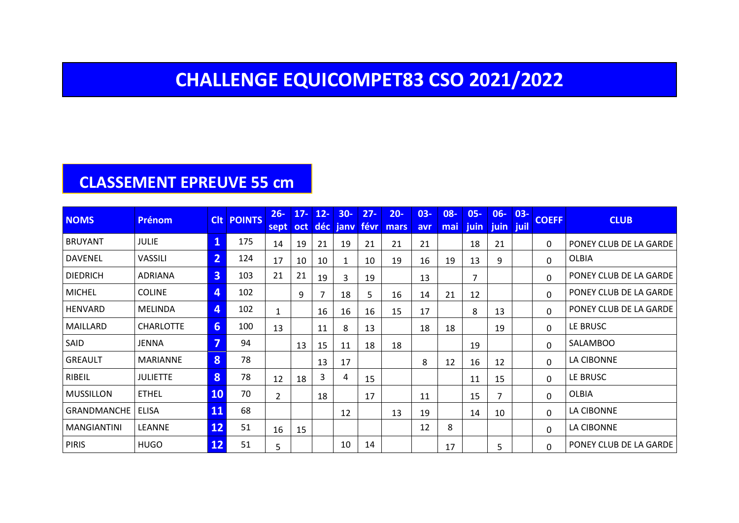#### **CHALLENGE EQUICOMPET83 CSO 2021/2022**

#### **CLASSEMENT EPREUVE 55 cm**

| <b>NOMS</b>        | <b>Prénom</b>    |                         | <b>CIt POINTS</b> | $26 -$<br>sept | $17 -$<br>oct | $12 -$ | $30 -$<br>déc jany févr | $27 -$ | $20 -$<br>mars | $03 -$<br>avr | 08-<br>mai | $05 -$<br>juin | $06 -$<br>juin juil | $03 -$ | <b>COEFF</b> | <b>CLUB</b>                   |
|--------------------|------------------|-------------------------|-------------------|----------------|---------------|--------|-------------------------|--------|----------------|---------------|------------|----------------|---------------------|--------|--------------|-------------------------------|
| <b>BRUYANT</b>     | <b>JULIE</b>     | $\mathbf{1}$            | 175               | 14             | 19            | 21     | 19                      | 21     | 21             | 21            |            | 18             | 21                  |        | 0            | PONEY CLUB DE LA GARDE        |
| <b>DAVENEL</b>     | VASSILI          | $\overline{2}$          | 124               | 17             | 10            | 10     | 1                       | 10     | 19             | 16            | 19         | 13             | 9                   |        | $\Omega$     | <b>OLBIA</b>                  |
| <b>DIEDRICH</b>    | ADRIANA          | $\overline{3}$          | 103               | 21             | 21            | 19     | 3                       | 19     |                | 13            |            | 7              |                     |        | $\mathbf 0$  | PONEY CLUB DE LA GARDE        |
| <b>MICHEL</b>      | <b>COLINE</b>    | $\overline{4}$          | 102               |                | 9             |        | 18                      | 5      | 16             | 14            | 21         | 12             |                     |        | $\mathbf{0}$ | PONEY CLUB DE LA GARDE        |
| HENVARD            | <b>MELINDA</b>   | $\overline{4}$          | 102               | 1              |               | 16     | 16                      | 16     | 15             | 17            |            | 8              | 13                  |        | $\mathbf{0}$ | PONEY CLUB DE LA GARDE        |
| MAILLARD           | <b>CHARLOTTE</b> | $6 \overline{6}$        | 100               | 13             |               | 11     | 8                       | 13     |                | 18            | 18         |                | 19                  |        | 0            | LE BRUSC                      |
| SAID               | JENNA            | $\overline{\mathbf{z}}$ | 94                |                | 13            | 15     | 11                      | 18     | 18             |               |            | 19             |                     |        | $\mathbf 0$  | <b>SALAMBOO</b>               |
| GREAULT            | <b>MARIANNE</b>  | 8                       | 78                |                |               | 13     | 17                      |        |                | 8             | 12         | 16             | 12                  |        | 0            | LA CIBONNE                    |
| RIBEIL             | <b>JULIETTE</b>  | 8                       | 78                | 12             | 18            | 3      | 4                       | 15     |                |               |            | 11             | 15                  |        | $\Omega$     | LE BRUSC                      |
| <b>MUSSILLON</b>   | <b>ETHEL</b>     | <b>10</b>               | 70                | $\overline{2}$ |               | 18     |                         | 17     |                | 11            |            | 15             | 7                   |        | $\mathbf{0}$ | OLBIA                         |
| <b>GRANDMANCHE</b> | ELISA            | 11                      | 68                |                |               |        | 12                      |        | 13             | 19            |            | 14             | 10                  |        | $\mathbf{0}$ | LA CIBONNE                    |
| <b>MANGIANTINI</b> | LEANNE           | 12                      | 51                | 16             | 15            |        |                         |        |                | 12            | 8          |                |                     |        | $\mathbf{0}$ | LA CIBONNE                    |
| <b>PIRIS</b>       | <b>HUGO</b>      | 12                      | 51                | 5              |               |        | 10                      | 14     |                |               | 17         |                | 5                   |        | $\Omega$     | <b>PONEY CLUB DE LA GARDE</b> |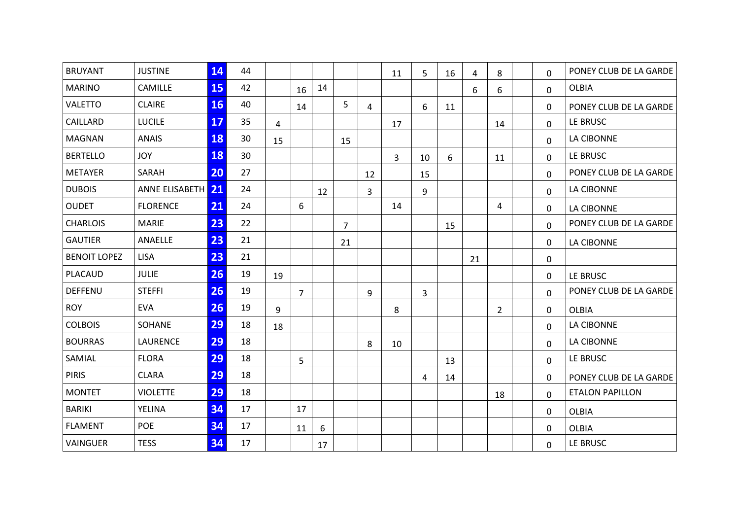| <b>BRUYANT</b>      | <b>JUSTINE</b>    | 14        | 44 |    |                |    |    |    |                |    |    |    |                |          | PONEY CLUB DE LA GARDE |
|---------------------|-------------------|-----------|----|----|----------------|----|----|----|----------------|----|----|----|----------------|----------|------------------------|
|                     |                   |           |    |    |                |    |    |    | 11             | 5  | 16 | 4  | 8              | 0        |                        |
| <b>MARINO</b>       | CAMILLE           | 15        | 42 |    | 16             | 14 |    |    |                |    |    | 6  | 6              | 0        | <b>OLBIA</b>           |
| <b>VALETTO</b>      | <b>CLAIRE</b>     | <b>16</b> | 40 |    | 14             |    | 5  | 4  |                | 6  | 11 |    |                | 0        | PONEY CLUB DE LA GARDE |
| CAILLARD            | <b>LUCILE</b>     | 17        | 35 | 4  |                |    |    |    | 17             |    |    |    | 14             | 0        | LE BRUSC               |
| <b>MAGNAN</b>       | <b>ANAIS</b>      | 18        | 30 | 15 |                |    | 15 |    |                |    |    |    |                | 0        | LA CIBONNE             |
| <b>BERTELLO</b>     | <b>JOY</b>        | 18        | 30 |    |                |    |    |    | $\overline{3}$ | 10 | 6  |    | 11             | 0        | LE BRUSC               |
| <b>METAYER</b>      | SARAH             | 20        | 27 |    |                |    |    | 12 |                | 15 |    |    |                | $\Omega$ | PONEY CLUB DE LA GARDE |
| <b>DUBOIS</b>       | ANNE ELISABETH 21 |           | 24 |    |                | 12 |    | 3  |                | 9  |    |    |                | 0        | LA CIBONNE             |
| <b>OUDET</b>        | <b>FLORENCE</b>   | 21        | 24 |    | 6              |    |    |    | 14             |    |    |    | 4              | 0        | <b>LA CIBONNE</b>      |
| <b>CHARLOIS</b>     | <b>MARIE</b>      | 23        | 22 |    |                |    | 7  |    |                |    | 15 |    |                | 0        | PONEY CLUB DE LA GARDE |
| <b>GAUTIER</b>      | ANAELLE           | 23        | 21 |    |                |    | 21 |    |                |    |    |    |                | 0        | LA CIBONNE             |
| <b>BENOIT LOPEZ</b> | <b>LISA</b>       | 23        | 21 |    |                |    |    |    |                |    |    | 21 |                | 0        |                        |
| PLACAUD             | <b>JULIE</b>      | 26        | 19 | 19 |                |    |    |    |                |    |    |    |                | 0        | LE BRUSC               |
| <b>DEFFENU</b>      | <b>STEFFI</b>     | 26        | 19 |    | $\overline{7}$ |    |    | 9  |                | 3  |    |    |                | $\Omega$ | PONEY CLUB DE LA GARDE |
| <b>ROY</b>          | <b>EVA</b>        | 26        | 19 | 9  |                |    |    |    | 8              |    |    |    | $\overline{2}$ | 0        | <b>OLBIA</b>           |
| <b>COLBOIS</b>      | SOHANE            | 29        | 18 | 18 |                |    |    |    |                |    |    |    |                | 0        | LA CIBONNE             |
| <b>BOURRAS</b>      | LAURENCE          | 29        | 18 |    |                |    |    | 8  | 10             |    |    |    |                | 0        | LA CIBONNE             |
| SAMIAL              | <b>FLORA</b>      | 29        | 18 |    | 5              |    |    |    |                |    | 13 |    |                | $\Omega$ | LE BRUSC               |
| <b>PIRIS</b>        | <b>CLARA</b>      | 29        | 18 |    |                |    |    |    |                | 4  | 14 |    |                | 0        | PONEY CLUB DE LA GARDE |
| <b>MONTET</b>       | <b>VIOLETTE</b>   | 29        | 18 |    |                |    |    |    |                |    |    |    | 18             | 0        | <b>ETALON PAPILLON</b> |
| <b>BARIKI</b>       | YELINA            | 34        | 17 |    | 17             |    |    |    |                |    |    |    |                | 0        | <b>OLBIA</b>           |
| <b>FLAMENT</b>      | <b>POE</b>        | 34        | 17 |    | 11             | 6  |    |    |                |    |    |    |                | 0        | <b>OLBIA</b>           |
| VAINGUER            | <b>TESS</b>       | 34        | 17 |    |                | 17 |    |    |                |    |    |    |                | 0        | LE BRUSC               |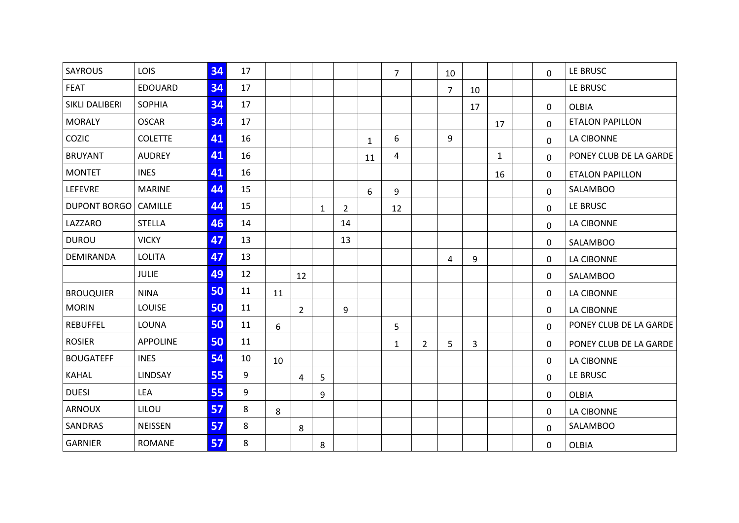| <b>SAYROUS</b>   | LOIS            | 34 | 17 |    |                |              |                |              | $\overline{7}$ |                | 10 |    |              | 0            | LE BRUSC               |
|------------------|-----------------|----|----|----|----------------|--------------|----------------|--------------|----------------|----------------|----|----|--------------|--------------|------------------------|
| <b>FEAT</b>      | <b>EDOUARD</b>  | 34 | 17 |    |                |              |                |              |                |                | 7  | 10 |              |              | LE BRUSC               |
| SIKLI DALIBERI   | <b>SOPHIA</b>   | 34 | 17 |    |                |              |                |              |                |                |    | 17 |              | 0            | <b>OLBIA</b>           |
| <b>MORALY</b>    | <b>OSCAR</b>    | 34 | 17 |    |                |              |                |              |                |                |    |    | 17           | 0            | <b>ETALON PAPILLON</b> |
| COZIC            | <b>COLETTE</b>  | 41 | 16 |    |                |              |                | $\mathbf{1}$ | 6              |                | 9  |    |              | 0            | <b>LA CIBONNE</b>      |
| <b>BRUYANT</b>   | <b>AUDREY</b>   | 41 | 16 |    |                |              |                | 11           | 4              |                |    |    | $\mathbf{1}$ | 0            | PONEY CLUB DE LA GARDE |
| <b>MONTET</b>    | <b>INES</b>     | 41 | 16 |    |                |              |                |              |                |                |    |    | 16           | 0            | <b>ETALON PAPILLON</b> |
| LEFEVRE          | <b>MARINE</b>   | 44 | 15 |    |                |              |                | 6            | 9              |                |    |    |              | $\mathbf{0}$ | <b>SALAMBOO</b>        |
| DUPONT BORGO     | <b>CAMILLE</b>  | 44 | 15 |    |                | $\mathbf{1}$ | $\overline{2}$ |              | 12             |                |    |    |              | 0            | LE BRUSC               |
| LAZZARO          | <b>STELLA</b>   | 46 | 14 |    |                |              | 14             |              |                |                |    |    |              | 0            | <b>LA CIBONNE</b>      |
| <b>DUROU</b>     | <b>VICKY</b>    | 47 | 13 |    |                |              | 13             |              |                |                |    |    |              | 0            | <b>SALAMBOO</b>        |
| DEMIRANDA        | <b>LOLITA</b>   | 47 | 13 |    |                |              |                |              |                |                | 4  | 9  |              | 0            | LA CIBONNE             |
|                  | <b>JULIE</b>    | 49 | 12 |    | 12             |              |                |              |                |                |    |    |              | 0            | <b>SALAMBOO</b>        |
| <b>BROUQUIER</b> | <b>NINA</b>     | 50 | 11 | 11 |                |              |                |              |                |                |    |    |              | 0            | <b>LA CIBONNE</b>      |
| <b>MORIN</b>     | LOUISE          | 50 | 11 |    | $\overline{2}$ |              | 9              |              |                |                |    |    |              | 0            | <b>LA CIBONNE</b>      |
| <b>REBUFFEL</b>  | <b>LOUNA</b>    | 50 | 11 | 6  |                |              |                |              | 5              |                |    |    |              | 0            | PONEY CLUB DE LA GARDE |
| <b>ROSIER</b>    | <b>APPOLINE</b> | 50 | 11 |    |                |              |                |              | $\mathbf{1}$   | $\overline{2}$ | 5  | 3  |              | 0            | PONEY CLUB DE LA GARDE |
| <b>BOUGATEFF</b> | <b>INES</b>     | 54 | 10 | 10 |                |              |                |              |                |                |    |    |              | 0            | <b>LA CIBONNE</b>      |
| <b>KAHAL</b>     | LINDSAY         | 55 | 9  |    | 4              | 5            |                |              |                |                |    |    |              | 0            | LE BRUSC               |
| <b>DUESI</b>     | LEA             | 55 | 9  |    |                | 9            |                |              |                |                |    |    |              | 0            | <b>OLBIA</b>           |
| ARNOUX           | LILOU           | 57 | 8  | 8  |                |              |                |              |                |                |    |    |              | 0            | <b>LA CIBONNE</b>      |
| SANDRAS          | <b>NEISSEN</b>  | 57 | 8  |    | 8              |              |                |              |                |                |    |    |              | 0            | <b>SALAMBOO</b>        |
| <b>GARNIER</b>   | <b>ROMANE</b>   | 57 | 8  |    |                | 8            |                |              |                |                |    |    |              | 0            | <b>OLBIA</b>           |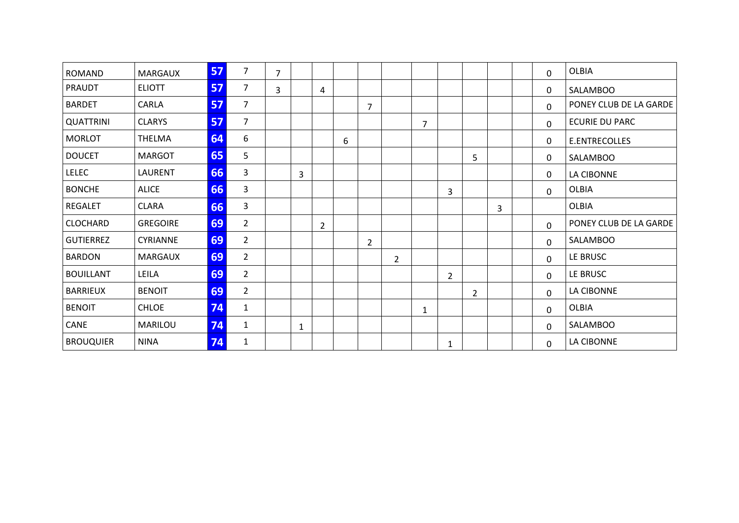| <b>ROMAND</b>    | <b>MARGAUX</b>  | 57 | $\overline{7}$ | $\overline{7}$ |   |                |   |                |                |                |   |   |   | 0 | <b>OLBIA</b>           |
|------------------|-----------------|----|----------------|----------------|---|----------------|---|----------------|----------------|----------------|---|---|---|---|------------------------|
| PRAUDT           | <b>ELIOTT</b>   | 57 | 7              | 3              |   | 4              |   |                |                |                |   |   |   | 0 | SALAMBOO               |
| <b>BARDET</b>    | CARLA           | 57 | $\overline{7}$ |                |   |                |   | 7              |                |                |   |   |   | 0 | PONEY CLUB DE LA GARDE |
| <b>QUATTRINI</b> | <b>CLARYS</b>   | 57 | $\overline{7}$ |                |   |                |   |                |                | $\overline{7}$ |   |   |   | 0 | <b>ECURIE DU PARC</b>  |
| <b>MORLOT</b>    | <b>THELMA</b>   | 64 | 6              |                |   |                | 6 |                |                |                |   |   |   | 0 | E.ENTRECOLLES          |
| <b>DOUCET</b>    | <b>MARGOT</b>   | 65 | 5              |                |   |                |   |                |                |                |   | 5 |   | 0 | SALAMBOO               |
| <b>LELEC</b>     | LAURENT         | 66 | 3              |                | 3 |                |   |                |                |                |   |   |   | 0 | LA CIBONNE             |
| <b>BONCHE</b>    | <b>ALICE</b>    | 66 | 3              |                |   |                |   |                |                |                | 3 |   |   | 0 | OLBIA                  |
| <b>REGALET</b>   | <b>CLARA</b>    | 66 | 3              |                |   |                |   |                |                |                |   |   | 3 |   | <b>OLBIA</b>           |
| <b>CLOCHARD</b>  | <b>GREGOIRE</b> | 69 | $\overline{2}$ |                |   | $\overline{2}$ |   |                |                |                |   |   |   | 0 | PONEY CLUB DE LA GARDE |
| <b>GUTIERREZ</b> | <b>CYRIANNE</b> | 69 | $\overline{2}$ |                |   |                |   | $\overline{2}$ |                |                |   |   |   | 0 | SALAMBOO               |
| <b>BARDON</b>    | <b>MARGAUX</b>  | 69 | $\overline{2}$ |                |   |                |   |                | $\overline{2}$ |                |   |   |   | 0 | LE BRUSC               |
| <b>BOUILLANT</b> | LEILA           | 69 | $\overline{2}$ |                |   |                |   |                |                |                | 2 |   |   | 0 | LE BRUSC               |
| <b>BARRIEUX</b>  | <b>BENOIT</b>   | 69 | $\overline{2}$ |                |   |                |   |                |                |                |   | 2 |   | 0 | LA CIBONNE             |
| <b>BENOIT</b>    | <b>CHLOE</b>    | 74 | $\mathbf{1}$   |                |   |                |   |                |                | $\mathbf{1}$   |   |   |   | 0 | <b>OLBIA</b>           |
| CANE             | MARILOU         | 74 | $\mathbf{1}$   |                | 1 |                |   |                |                |                |   |   |   | 0 | SALAMBOO               |
| <b>BROUQUIER</b> | <b>NINA</b>     | 74 | 1              |                |   |                |   |                |                |                | 1 |   |   | 0 | LA CIBONNE             |
|                  |                 |    |                |                |   |                |   |                |                |                |   |   |   |   |                        |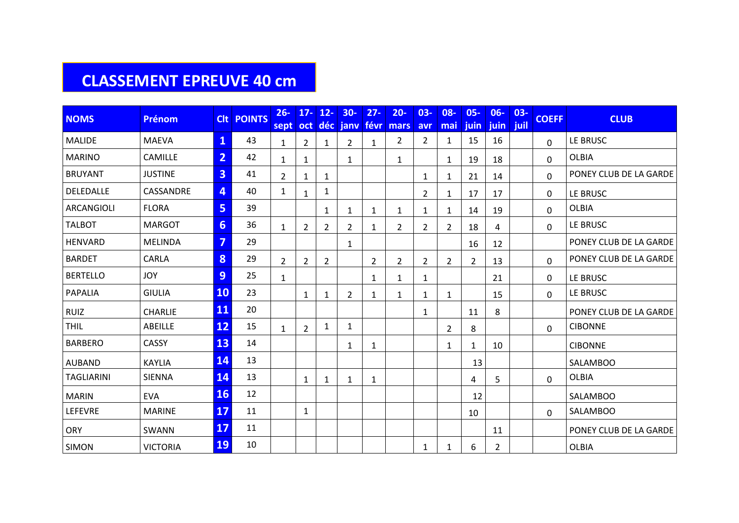#### **CLASSEMENT EPREUVE 40 cm**

| <b>NOMS</b>       | <b>Prénom</b>   | <b>Clt</b>     | <b>POINTS</b> | $26 -$<br>sept | $17 -$         | $12 -$<br>oct déc | $30-$<br>janv  | $27 -$         | $20 -$<br>févr mars | $03 -$<br>avr  | $08 -$<br>mai  | $05 -$<br><b>juin</b> | $06 -$<br>juin | $03 -$<br>juil | <b>COEFF</b> | <b>CLUB</b>            |
|-------------------|-----------------|----------------|---------------|----------------|----------------|-------------------|----------------|----------------|---------------------|----------------|----------------|-----------------------|----------------|----------------|--------------|------------------------|
| <b>MALIDE</b>     | <b>MAEVA</b>    | $\mathbf{1}$   | 43            | $\mathbf{1}$   | $\overline{2}$ | $\mathbf{1}$      | $\overline{2}$ | $\mathbf{1}$   | $\overline{2}$      | $\overline{2}$ | 1              | 15                    | 16             |                | $\Omega$     | LE BRUSC               |
| <b>MARINO</b>     | CAMILLE         | $\overline{2}$ | 42            | 1              | 1              |                   | $\mathbf{1}$   |                | $\mathbf{1}$        |                | $\mathbf{1}$   | 19                    | 18             |                | $\Omega$     | <b>OLBIA</b>           |
| <b>BRUYANT</b>    | <b>JUSTINE</b>  | 3              | 41            | $\overline{2}$ | 1              | 1                 |                |                |                     | 1              | 1              | 21                    | 14             |                | 0            | PONEY CLUB DE LA GARDE |
| DELEDALLE         | CASSANDRE       | 4              | 40            | $\mathbf{1}$   | 1              | $\mathbf{1}$      |                |                |                     | $\overline{2}$ | $\mathbf{1}$   | 17                    | 17             |                | 0            | LE BRUSC               |
| ARCANGIOLI        | <b>FLORA</b>    | 5              | 39            |                |                | 1                 | $\mathbf{1}$   | 1              | $\mathbf{1}$        | 1              | 1              | 14                    | 19             |                | 0            | <b>OLBIA</b>           |
| <b>TALBOT</b>     | <b>MARGOT</b>   | 6              | 36            | $\mathbf{1}$   | 2              | $\overline{2}$    | 2              | 1              | $\overline{2}$      | $\overline{2}$ | $\overline{2}$ | 18                    | 4              |                | $\Omega$     | LE BRUSC               |
| <b>HENVARD</b>    | <b>MELINDA</b>  | 7              | 29            |                |                |                   | $\mathbf{1}$   |                |                     |                |                | 16                    | 12             |                |              | PONEY CLUB DE LA GARDE |
| <b>BARDET</b>     | CARLA           | 8              | 29            | $\overline{2}$ | 2              | $\overline{2}$    |                | $\overline{2}$ | $\overline{2}$      | $\overline{2}$ | $\overline{2}$ | $\overline{2}$        | 13             |                | 0            | PONEY CLUB DE LA GARDE |
| <b>BERTELLO</b>   | <b>JOY</b>      | 9              | 25            | $\mathbf{1}$   |                |                   |                | 1              | 1                   | 1              |                |                       | 21             |                | 0            | LE BRUSC               |
| PAPALIA           | <b>GIULIA</b>   | <b>10</b>      | 23            |                | 1              | $\mathbf{1}$      | 2              | 1              | $\mathbf{1}$        | 1              | 1              |                       | 15             |                | $\Omega$     | LE BRUSC               |
| <b>RUIZ</b>       | <b>CHARLIE</b>  | <b>11</b>      | 20            |                |                |                   |                |                |                     | $\mathbf{1}$   |                | 11                    | 8              |                |              | PONEY CLUB DE LA GARDE |
| <b>THIL</b>       | ABEILLE         | 12             | 15            | $\mathbf{1}$   | $\overline{2}$ | 1                 | $\mathbf{1}$   |                |                     |                | $\overline{2}$ | 8                     |                |                | 0            | <b>CIBONNE</b>         |
| <b>BARBERO</b>    | <b>CASSY</b>    | 13             | 14            |                |                |                   | 1              | 1              |                     |                | 1              | $\mathbf{1}$          | 10             |                |              | <b>CIBONNE</b>         |
| <b>AUBAND</b>     | <b>KAYLIA</b>   | 14             | 13            |                |                |                   |                |                |                     |                |                | 13                    |                |                |              | <b>SALAMBOO</b>        |
| <b>TAGLIARINI</b> | <b>SIENNA</b>   | 14             | 13            |                | 1              | 1                 | 1              | 1              |                     |                |                | 4                     | 5              |                | 0            | <b>OLBIA</b>           |
| <b>MARIN</b>      | <b>EVA</b>      | <b>16</b>      | 12            |                |                |                   |                |                |                     |                |                | 12                    |                |                |              | <b>SALAMBOO</b>        |
| <b>LEFEVRE</b>    | <b>MARINE</b>   | 17             | 11            |                | 1              |                   |                |                |                     |                |                | 10                    |                |                | 0            | <b>SALAMBOO</b>        |
| ORY               | SWANN           | <b>17</b>      | 11            |                |                |                   |                |                |                     |                |                |                       | 11             |                |              | PONEY CLUB DE LA GARDE |
| <b>SIMON</b>      | <b>VICTORIA</b> | <b>19</b>      | 10            |                |                |                   |                |                |                     | $\mathbf{1}$   | 1              | 6                     | $2^{\circ}$    |                |              | <b>OLBIA</b>           |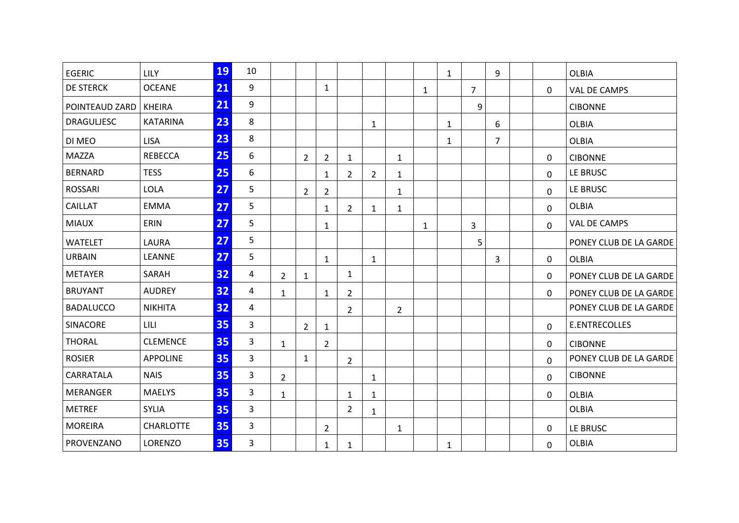| <b>EGERIC</b>     | LILY             | 19 | 10 |                |                |                |                |                |                |              | $\mathbf{1}$ |                | 9              |             | <b>OLBIA</b>           |
|-------------------|------------------|----|----|----------------|----------------|----------------|----------------|----------------|----------------|--------------|--------------|----------------|----------------|-------------|------------------------|
| <b>DE STERCK</b>  | <b>OCEANE</b>    | 21 | 9  |                |                | $\mathbf{1}$   |                |                |                | $\mathbf{1}$ |              | $\overline{7}$ |                | 0           | <b>VAL DE CAMPS</b>    |
| POINTEAUD ZARD    | <b>KHEIRA</b>    | 21 | 9  |                |                |                |                |                |                |              |              | 9              |                |             | <b>CIBONNE</b>         |
| <b>DRAGULJESC</b> | <b>KATARINA</b>  | 23 | 8  |                |                |                |                | $\mathbf{1}$   |                |              | $\mathbf{1}$ |                | 6              |             | <b>OLBIA</b>           |
| DI MEO            | <b>LISA</b>      | 23 | 8  |                |                |                |                |                |                |              | $\mathbf{1}$ |                | $\overline{7}$ |             | <b>OLBIA</b>           |
| <b>MAZZA</b>      | <b>REBECCA</b>   | 25 | 6  |                | $\overline{2}$ | $\overline{2}$ | $\mathbf{1}$   |                | $\mathbf{1}$   |              |              |                |                | 0           | <b>CIBONNE</b>         |
| <b>BERNARD</b>    | <b>TESS</b>      | 25 | 6  |                |                | $\mathbf{1}$   | $\overline{2}$ | $\overline{2}$ | 1              |              |              |                |                | $\Omega$    | LE BRUSC               |
| <b>ROSSARI</b>    | <b>LOLA</b>      | 27 | 5  |                | $\overline{2}$ | $\overline{2}$ |                |                | $\mathbf{1}$   |              |              |                |                | 0           | LE BRUSC               |
| CAILLAT           | <b>EMMA</b>      | 27 | 5  |                |                | $\mathbf{1}$   | $\overline{2}$ | $\mathbf{1}$   | $\mathbf{1}$   |              |              |                |                | 0           | <b>OLBIA</b>           |
| <b>MIAUX</b>      | ERIN             | 27 | 5  |                |                | 1              |                |                |                | $\mathbf{1}$ |              | 3              |                | 0           | VAL DE CAMPS           |
| <b>WATELET</b>    | <b>LAURA</b>     | 27 | 5  |                |                |                |                |                |                |              |              | 5              |                |             | PONEY CLUB DE LA GARDE |
| <b>URBAIN</b>     | LEANNE           | 27 | 5  |                |                | $\mathbf{1}$   |                | $\mathbf{1}$   |                |              |              |                | 3              | 0           | <b>OLBIA</b>           |
| <b>METAYER</b>    | SARAH            | 32 | 4  | $\overline{2}$ | $\mathbf{1}$   |                | $\mathbf{1}$   |                |                |              |              |                |                | 0           | PONEY CLUB DE LA GARDE |
| <b>BRUYANT</b>    | <b>AUDREY</b>    | 32 | 4  | $\mathbf{1}$   |                | $\mathbf{1}$   | $\mathbf{2}$   |                |                |              |              |                |                | 0           | PONEY CLUB DE LA GARDE |
| <b>BADALUCCO</b>  | <b>NIKHITA</b>   | 32 | 4  |                |                |                | $\overline{2}$ |                | $\overline{2}$ |              |              |                |                |             | PONEY CLUB DE LA GARDE |
| SINACORE          | LILI             | 35 | 3  |                | $\overline{2}$ | $\mathbf{1}$   |                |                |                |              |              |                |                | 0           | E.ENTRECOLLES          |
| <b>THORAL</b>     | <b>CLEMENCE</b>  | 35 | 3  | $\mathbf{1}$   |                | $\overline{2}$ |                |                |                |              |              |                |                | 0           | <b>CIBONNE</b>         |
| <b>ROSIER</b>     | <b>APPOLINE</b>  | 35 | 3  |                | $\mathbf{1}$   |                | $\overline{2}$ |                |                |              |              |                |                | $\Omega$    | PONEY CLUB DE LA GARDE |
| CARRATALA         | <b>NAIS</b>      | 35 | 3  | $\overline{2}$ |                |                |                | $\mathbf{1}$   |                |              |              |                |                | 0           | <b>CIBONNE</b>         |
| <b>MERANGER</b>   | <b>MAELYS</b>    | 35 | 3  | $\mathbf{1}$   |                |                | $\mathbf{1}$   | 1              |                |              |              |                |                | 0           | <b>OLBIA</b>           |
| <b>METREF</b>     | <b>SYLIA</b>     | 35 | 3  |                |                |                | $\overline{2}$ | $\mathbf{1}$   |                |              |              |                |                |             | <b>OLBIA</b>           |
| <b>MOREIRA</b>    | <b>CHARLOTTE</b> | 35 | 3  |                |                | $\overline{2}$ |                |                | 1              |              |              |                |                | 0           | LE BRUSC               |
| PROVENZANO        | <b>LORENZO</b>   | 35 | 3  |                |                | $\mathbf{1}$   | $\mathbf{1}$   |                |                |              | $\mathbf{1}$ |                |                | $\mathbf 0$ | <b>OLBIA</b>           |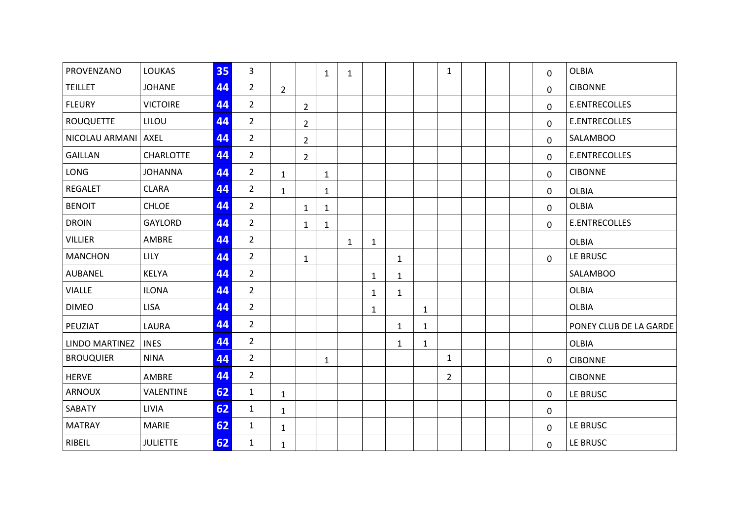| PROVENZANO       | <b>LOUKAS</b>    | 35 | $\overline{3}$ |                |                | $\mathbf{1}$ | $\mathbf{1}$ |              |              |              | $\mathbf{1}$   |  | 0            | <b>OLBIA</b>           |
|------------------|------------------|----|----------------|----------------|----------------|--------------|--------------|--------------|--------------|--------------|----------------|--|--------------|------------------------|
| <b>TEILLET</b>   | <b>JOHANE</b>    | 44 | $\overline{2}$ | $\overline{2}$ |                |              |              |              |              |              |                |  | 0            | <b>CIBONNE</b>         |
| <b>FLEURY</b>    | <b>VICTOIRE</b>  | 44 | $\overline{2}$ |                | $\overline{2}$ |              |              |              |              |              |                |  | $\Omega$     | <b>E.ENTRECOLLES</b>   |
| <b>ROUQUETTE</b> | LILOU            | 44 | $\overline{2}$ |                | $\overline{2}$ |              |              |              |              |              |                |  | 0            | E.ENTRECOLLES          |
| NICOLAU ARMANI   | AXEL             | 44 | $\overline{2}$ |                | $\overline{2}$ |              |              |              |              |              |                |  | $\mathbf 0$  | <b>SALAMBOO</b>        |
| <b>GAILLAN</b>   | <b>CHARLOTTE</b> | 44 | $2^{\circ}$    |                | $\overline{2}$ |              |              |              |              |              |                |  | 0            | E.ENTRECOLLES          |
| <b>LONG</b>      | <b>JOHANNA</b>   | 44 | $\overline{2}$ | $\mathbf{1}$   |                | $\mathbf{1}$ |              |              |              |              |                |  | 0            | <b>CIBONNE</b>         |
| <b>REGALET</b>   | <b>CLARA</b>     | 44 | $\overline{2}$ | $\mathbf{1}$   |                | $\mathbf{1}$ |              |              |              |              |                |  | $\mathbf{0}$ | <b>OLBIA</b>           |
| <b>BENOIT</b>    | <b>CHLOE</b>     | 44 | $\overline{2}$ |                | $\mathbf{1}$   | $\mathbf{1}$ |              |              |              |              |                |  | 0            | OLBIA                  |
| <b>DROIN</b>     | GAYLORD          | 44 | $\overline{2}$ |                | 1              | $\mathbf{1}$ |              |              |              |              |                |  | $\Omega$     | E.ENTRECOLLES          |
| <b>VILLIER</b>   | AMBRE            | 44 | $\overline{2}$ |                |                |              | $\mathbf{1}$ | $\mathbf{1}$ |              |              |                |  |              | <b>OLBIA</b>           |
| <b>MANCHON</b>   | <b>LILY</b>      | 44 | $\overline{2}$ |                | $\mathbf{1}$   |              |              |              | $\mathbf{1}$ |              |                |  | $\Omega$     | LE BRUSC               |
| AUBANEL          | <b>KELYA</b>     | 44 | $\overline{2}$ |                |                |              |              | $\mathbf{1}$ | $\mathbf{1}$ |              |                |  |              | SALAMBOO               |
| <b>VIALLE</b>    | <b>ILONA</b>     | 44 | $\overline{2}$ |                |                |              |              | $\mathbf{1}$ | $\mathbf{1}$ |              |                |  |              | <b>OLBIA</b>           |
| <b>DIMEO</b>     | <b>LISA</b>      | 44 | $\overline{2}$ |                |                |              |              | $\mathbf{1}$ |              | $\mathbf{1}$ |                |  |              | <b>OLBIA</b>           |
| PEUZIAT          | LAURA            | 44 | $\overline{2}$ |                |                |              |              |              | $\mathbf{1}$ | $\mathbf{1}$ |                |  |              | PONEY CLUB DE LA GARDE |
| LINDO MARTINEZ   | <b>INES</b>      | 44 | $2^{\circ}$    |                |                |              |              |              | $\mathbf{1}$ | $\mathbf{1}$ |                |  |              | <b>OLBIA</b>           |
| <b>BROUQUIER</b> | <b>NINA</b>      | 44 | $\overline{2}$ |                |                | $\mathbf{1}$ |              |              |              |              | $\mathbf{1}$   |  | 0            | <b>CIBONNE</b>         |
| <b>HERVE</b>     | AMBRE            | 44 | $\overline{2}$ |                |                |              |              |              |              |              | $\overline{2}$ |  |              | <b>CIBONNE</b>         |
| ARNOUX           | VALENTINE        | 62 | $\mathbf{1}$   | $\mathbf{1}$   |                |              |              |              |              |              |                |  | 0            | LE BRUSC               |
| SABATY           | LIVIA            | 62 | $\mathbf{1}$   | $\mathbf{1}$   |                |              |              |              |              |              |                |  | 0            |                        |
| <b>MATRAY</b>    | MARIE            | 62 | $\mathbf{1}$   | $\mathbf{1}$   |                |              |              |              |              |              |                |  | 0            | LE BRUSC               |
| RIBEIL           | <b>JULIETTE</b>  | 62 | 1              | $\mathbf{1}$   |                |              |              |              |              |              |                |  | 0            | LE BRUSC               |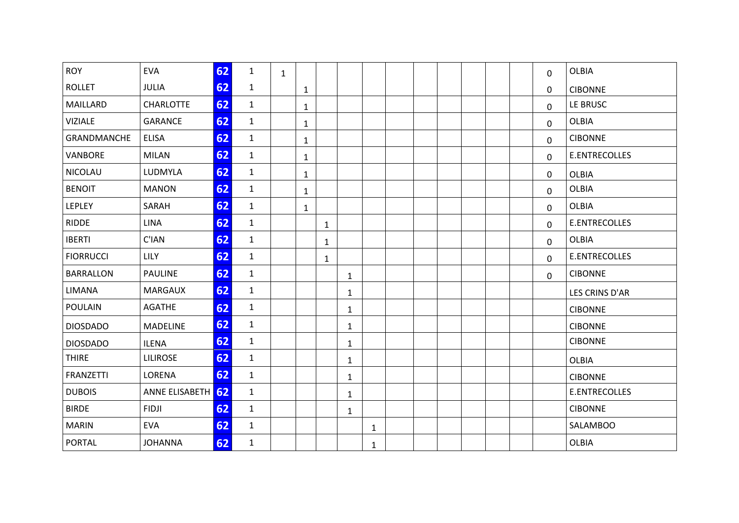| <b>ROY</b>       | <b>EVA</b>        | 62 | $\mathbf{1}$ | $\mathbf{1}$ |              |              |              |              |  |  |  | $\mathbf 0$  | <b>OLBIA</b>    |
|------------------|-------------------|----|--------------|--------------|--------------|--------------|--------------|--------------|--|--|--|--------------|-----------------|
| <b>ROLLET</b>    | <b>JULIA</b>      | 62 | $\mathbf{1}$ |              | $\mathbf{1}$ |              |              |              |  |  |  | $\mathbf{0}$ | <b>CIBONNE</b>  |
| MAILLARD         | <b>CHARLOTTE</b>  | 62 | $\mathbf{1}$ |              | $\mathbf{1}$ |              |              |              |  |  |  | $\Omega$     | LE BRUSC        |
| <b>VIZIALE</b>   | <b>GARANCE</b>    | 62 | $\mathbf{1}$ |              | 1            |              |              |              |  |  |  | 0            | <b>OLBIA</b>    |
| GRANDMANCHE      | <b>ELISA</b>      | 62 | $\mathbf{1}$ |              | $\mathbf{1}$ |              |              |              |  |  |  | 0            | <b>CIBONNE</b>  |
| VANBORE          | <b>MILAN</b>      | 62 | $\mathbf{1}$ |              | $\mathbf{1}$ |              |              |              |  |  |  | 0            | E.ENTRECOLLES   |
| <b>NICOLAU</b>   | LUDMYLA           | 62 | $\mathbf{1}$ |              | $\mathbf{1}$ |              |              |              |  |  |  | $\mathbf{0}$ | <b>OLBIA</b>    |
| <b>BENOIT</b>    | <b>MANON</b>      | 62 | $\mathbf{1}$ |              | $\mathbf{1}$ |              |              |              |  |  |  | 0            | <b>OLBIA</b>    |
| <b>LEPLEY</b>    | SARAH             | 62 | $\mathbf{1}$ |              | $\mathbf{1}$ |              |              |              |  |  |  | $\mathbf 0$  | <b>OLBIA</b>    |
| <b>RIDDE</b>     | <b>LINA</b>       | 62 | $\mathbf{1}$ |              |              | $\mathbf{1}$ |              |              |  |  |  | $\mathbf{0}$ | E.ENTRECOLLES   |
| <b>IBERTI</b>    | C'IAN             | 62 | $\mathbf{1}$ |              |              | $\mathbf{1}$ |              |              |  |  |  | $\Omega$     | <b>OLBIA</b>    |
| <b>FIORRUCCI</b> | <b>LILY</b>       | 62 | $\mathbf{1}$ |              |              | $\mathbf{1}$ |              |              |  |  |  | 0            | E.ENTRECOLLES   |
| <b>BARRALLON</b> | <b>PAULINE</b>    | 62 | $\mathbf{1}$ |              |              |              | $\mathbf{1}$ |              |  |  |  | $\mathbf 0$  | <b>CIBONNE</b>  |
| <b>LIMANA</b>    | <b>MARGAUX</b>    | 62 | $\mathbf{1}$ |              |              |              | $\mathbf{1}$ |              |  |  |  |              | LES CRINS D'AR  |
| <b>POULAIN</b>   | <b>AGATHE</b>     | 62 | $\mathbf{1}$ |              |              |              | $\mathbf{1}$ |              |  |  |  |              | <b>CIBONNE</b>  |
| <b>DIOSDADO</b>  | <b>MADELINE</b>   | 62 | $\mathbf{1}$ |              |              |              | $\mathbf{1}$ |              |  |  |  |              | <b>CIBONNE</b>  |
| <b>DIOSDADO</b>  | <b>ILENA</b>      | 62 | $\mathbf{1}$ |              |              |              | $\mathbf{1}$ |              |  |  |  |              | <b>CIBONNE</b>  |
| <b>THIRE</b>     | <b>LILIROSE</b>   | 62 | $\mathbf{1}$ |              |              |              | $\mathbf{1}$ |              |  |  |  |              | <b>OLBIA</b>    |
| <b>FRANZETTI</b> | LORENA            | 62 | $\mathbf{1}$ |              |              |              | $\mathbf{1}$ |              |  |  |  |              | <b>CIBONNE</b>  |
| <b>DUBOIS</b>    | ANNE ELISABETH 62 |    | $\mathbf{1}$ |              |              |              | $\mathbf{1}$ |              |  |  |  |              | E.ENTRECOLLES   |
| <b>BIRDE</b>     | <b>FIDJI</b>      | 62 | $\mathbf{1}$ |              |              |              | $\mathbf{1}$ |              |  |  |  |              | <b>CIBONNE</b>  |
| <b>MARIN</b>     | <b>EVA</b>        | 62 | $\mathbf{1}$ |              |              |              |              | $\mathbf{1}$ |  |  |  |              | <b>SALAMBOO</b> |
| <b>PORTAL</b>    | <b>JOHANNA</b>    | 62 | $\mathbf{1}$ |              |              |              |              | $\mathbf{1}$ |  |  |  |              | <b>OLBIA</b>    |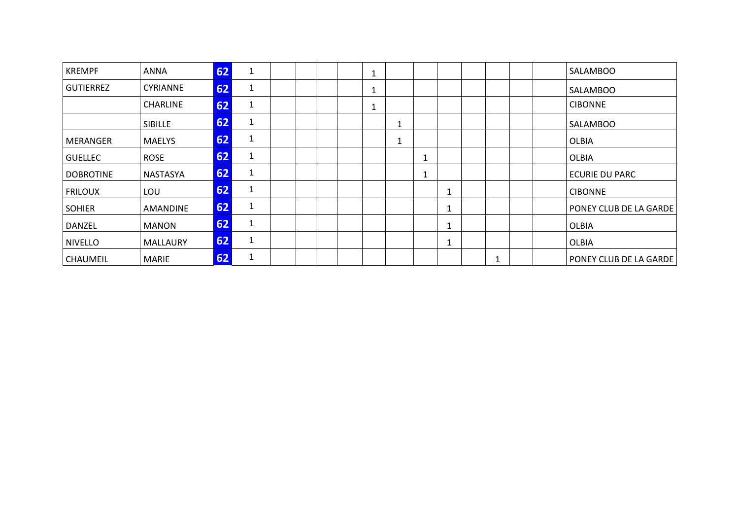| <b>KREMPF</b>    | <b>ANNA</b>     | 62 |                           |  |  | 1                 |   |   |  |  | SALAMBOO               |
|------------------|-----------------|----|---------------------------|--|--|-------------------|---|---|--|--|------------------------|
| <b>GUTIERREZ</b> | <b>CYRIANNE</b> | 62 | 1                         |  |  | 1                 |   |   |  |  | <b>SALAMBOO</b>        |
|                  | <b>CHARLINE</b> | 62 | 1                         |  |  | $\mathbf{A}$<br>T |   |   |  |  | <b>CIBONNE</b>         |
|                  | <b>SIBILLE</b>  | 62 | 1                         |  |  |                   |   |   |  |  | <b>SALAMBOO</b>        |
| MERANGER         | <b>MAELYS</b>   | 62 |                           |  |  |                   |   |   |  |  | <b>OLBIA</b>           |
| <b>GUELLEC</b>   | <b>ROSE</b>     | 62 | 1                         |  |  |                   | 1 |   |  |  | <b>OLBIA</b>           |
| <b>DOBROTINE</b> | NASTASYA        | 62 | ◢<br>J.                   |  |  |                   | 1 |   |  |  | <b>ECURIE DU PARC</b>  |
| <b>FRILOUX</b>   | LOU             | 62 |                           |  |  |                   |   | ш |  |  | <b>CIBONNE</b>         |
| <b>SOHIER</b>    | <b>AMANDINE</b> | 62 |                           |  |  |                   |   |   |  |  | PONEY CLUB DE LA GARDE |
| DANZEL           | <b>MANON</b>    | 62 | 1                         |  |  |                   |   |   |  |  | <b>OLBIA</b>           |
| <b>NIVELLO</b>   | <b>MALLAURY</b> | 62 | $\blacktriangleleft$<br>T |  |  |                   |   |   |  |  | <b>OLBIA</b>           |
| CHAUMEIL         | <b>MARIE</b>    | 62 | 1                         |  |  |                   |   |   |  |  | PONEY CLUB DE LA GARDE |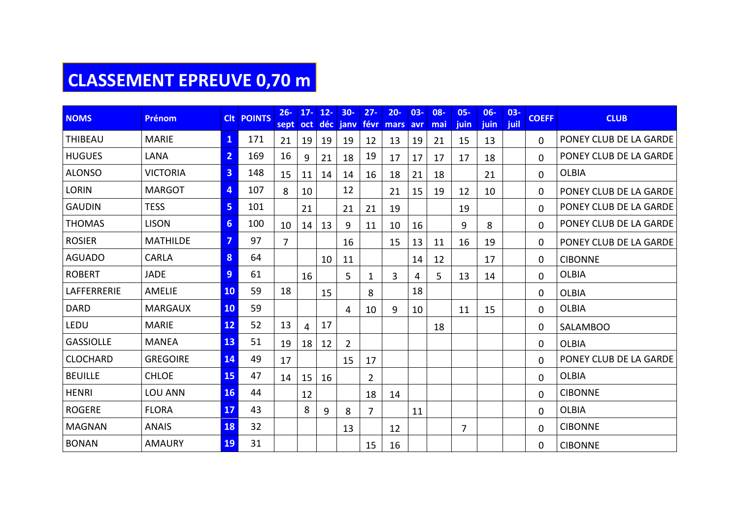## **CLASSEMENT EPREUVE 0,70 m**

| <b>NOMS</b>      | <b>Prénom</b>   |                | <b>CIt POINTS</b> | $26 -$<br>sept | $17 -$<br>oct <sub>1</sub> | $12 -$<br>déc | $30 -$<br>janv | $27 -$<br>févr | $20 -$<br>mars avr | $03 -$ | $08 -$<br>mai | $05 -$<br><i>juin</i> | $06 -$<br>juin | $03 -$<br>juil | <b>COEFF</b> | <b>CLUB</b>            |
|------------------|-----------------|----------------|-------------------|----------------|----------------------------|---------------|----------------|----------------|--------------------|--------|---------------|-----------------------|----------------|----------------|--------------|------------------------|
| <b>THIBEAU</b>   | <b>MARIE</b>    | $\mathbf{1}$   | 171               | 21             | 19                         | 19            | 19             | 12             | 13                 | 19     | 21            | 15                    | 13             |                | $\Omega$     | PONEY CLUB DE LA GARDE |
| <b>HUGUES</b>    | LANA            | $\overline{2}$ | 169               | 16             | 9                          | 21            | 18             | 19             | 17                 | 17     | 17            | 17                    | 18             |                | $\Omega$     | PONEY CLUB DE LA GARDE |
| <b>ALONSO</b>    | <b>VICTORIA</b> | $\overline{3}$ | 148               | 15             | 11                         | 14            | 14             | 16             | 18                 | 21     | 18            |                       | 21             |                | 0            | <b>OLBIA</b>           |
| <b>LORIN</b>     | <b>MARGOT</b>   | 4              | 107               | 8              | 10                         |               | 12             |                | 21                 | 15     | 19            | 12                    | 10             |                | 0            | PONEY CLUB DE LA GARDE |
| <b>GAUDIN</b>    | <b>TESS</b>     | 5              | 101               |                | 21                         |               | 21             | 21             | 19                 |        |               | 19                    |                |                | 0            | PONEY CLUB DE LA GARDE |
| <b>THOMAS</b>    | <b>LISON</b>    | $6\phantom{1}$ | 100               | 10             | 14                         | 13            | 9              | 11             | 10                 | 16     |               | 9                     | 8              |                | $\mathbf 0$  | PONEY CLUB DE LA GARDE |
| <b>ROSIER</b>    | <b>MATHILDE</b> | 7              | 97                | $\overline{7}$ |                            |               | 16             |                | 15                 | 13     | 11            | 16                    | 19             |                | $\mathbf{0}$ | PONEY CLUB DE LA GARDE |
| <b>AGUADO</b>    | <b>CARLA</b>    | 8              | 64                |                |                            | 10            | 11             |                |                    | 14     | 12            |                       | 17             |                | $\mathbf{0}$ | <b>CIBONNE</b>         |
| <b>ROBERT</b>    | <b>JADE</b>     | 9              | 61                |                | 16                         |               | 5              | 1              | $\overline{3}$     | 4      | 5             | 13                    | 14             |                | $\mathbf 0$  | <b>OLBIA</b>           |
| LAFFERRERIE      | <b>AMELIE</b>   | 10             | 59                | 18             |                            | 15            |                | 8              |                    | 18     |               |                       |                |                | 0            | <b>OLBIA</b>           |
| <b>DARD</b>      | <b>MARGAUX</b>  | 10             | 59                |                |                            |               | 4              | 10             | 9                  | 10     |               | 11                    | 15             |                | 0            | <b>OLBIA</b>           |
| LEDU             | <b>MARIE</b>    | 12             | 52                | 13             | 4                          | 17            |                |                |                    |        | 18            |                       |                |                | 0            | <b>SALAMBOO</b>        |
| <b>GASSIOLLE</b> | <b>MANEA</b>    | 13             | 51                | 19             | 18                         | 12            | $\overline{2}$ |                |                    |        |               |                       |                |                | $\mathbf{0}$ | <b>OLBIA</b>           |
| <b>CLOCHARD</b>  | <b>GREGOIRE</b> | 14             | 49                | 17             |                            |               | 15             | 17             |                    |        |               |                       |                |                | 0            | PONEY CLUB DE LA GARDE |
| <b>BEUILLE</b>   | <b>CHLOE</b>    | <b>15</b>      | 47                | 14             | 15                         | 16            |                | 2              |                    |        |               |                       |                |                | $\mathbf 0$  | <b>OLBIA</b>           |
| <b>HENRI</b>     | LOU ANN         | 16             | 44                |                | 12                         |               |                | 18             | 14                 |        |               |                       |                |                | $\Omega$     | <b>CIBONNE</b>         |
| <b>ROGERE</b>    | <b>FLORA</b>    | 17             | 43                |                | 8                          | 9             | 8              | 7              |                    | 11     |               |                       |                |                | 0            | <b>OLBIA</b>           |
| <b>MAGNAN</b>    | <b>ANAIS</b>    | 18             | 32                |                |                            |               | 13             |                | 12                 |        |               | $\overline{7}$        |                |                | $\mathbf 0$  | <b>CIBONNE</b>         |
| <b>BONAN</b>     | <b>AMAURY</b>   | 19             | 31                |                |                            |               |                | 15             | 16                 |        |               |                       |                |                | 0            | <b>CIBONNE</b>         |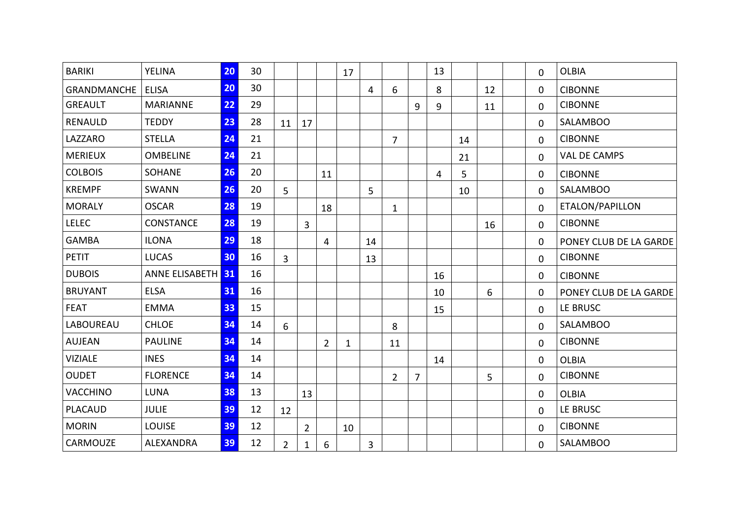| <b>BARIKI</b>      | <b>YELINA</b>     | 20 | 30 |                |                |                | 17 |    |                |                | 13             |    |    | $\mathbf 0$ | <b>OLBIA</b>           |
|--------------------|-------------------|----|----|----------------|----------------|----------------|----|----|----------------|----------------|----------------|----|----|-------------|------------------------|
| <b>GRANDMANCHE</b> | <b>ELISA</b>      | 20 | 30 |                |                |                |    | 4  | 6              |                | 8              |    | 12 | 0           | <b>CIBONNE</b>         |
| <b>GREAULT</b>     | <b>MARIANNE</b>   | 22 | 29 |                |                |                |    |    |                | 9              | 9              |    | 11 | $\mathbf 0$ | <b>CIBONNE</b>         |
| <b>RENAULD</b>     | <b>TEDDY</b>      | 23 | 28 | 11             | 17             |                |    |    |                |                |                |    |    | $\mathbf 0$ | <b>SALAMBOO</b>        |
| LAZZARO            | <b>STELLA</b>     | 24 | 21 |                |                |                |    |    | $\overline{7}$ |                |                | 14 |    | $\mathbf 0$ | <b>CIBONNE</b>         |
| <b>MERIEUX</b>     | <b>OMBELINE</b>   | 24 | 21 |                |                |                |    |    |                |                |                | 21 |    | $\Omega$    | <b>VAL DE CAMPS</b>    |
| <b>COLBOIS</b>     | <b>SOHANE</b>     | 26 | 20 |                |                | 11             |    |    |                |                | $\overline{4}$ | 5  |    | 0           | <b>CIBONNE</b>         |
| <b>KREMPF</b>      | SWANN             | 26 | 20 | 5              |                |                |    | 5  |                |                |                | 10 |    | $\mathbf 0$ | SALAMBOO               |
| <b>MORALY</b>      | <b>OSCAR</b>      | 28 | 19 |                |                | 18             |    |    | $\mathbf{1}$   |                |                |    |    | $\mathbf 0$ | ETALON/PAPILLON        |
| <b>LELEC</b>       | CONSTANCE         | 28 | 19 |                | $\overline{3}$ |                |    |    |                |                |                |    | 16 | $\mathbf 0$ | <b>CIBONNE</b>         |
| <b>GAMBA</b>       | <b>ILONA</b>      | 29 | 18 |                |                | $\overline{4}$ |    | 14 |                |                |                |    |    | $\mathbf 0$ | PONEY CLUB DE LA GARDE |
| <b>PETIT</b>       | <b>LUCAS</b>      | 30 | 16 | $\overline{3}$ |                |                |    | 13 |                |                |                |    |    | $\mathbf 0$ | <b>CIBONNE</b>         |
| <b>DUBOIS</b>      | ANNE ELISABETH 31 |    | 16 |                |                |                |    |    |                |                | 16             |    |    | 0           | <b>CIBONNE</b>         |
| <b>BRUYANT</b>     | <b>ELSA</b>       | 31 | 16 |                |                |                |    |    |                |                | 10             |    | 6  | $\mathbf 0$ | PONEY CLUB DE LA GARDE |
| <b>FEAT</b>        | <b>EMMA</b>       | 33 | 15 |                |                |                |    |    |                |                | 15             |    |    | $\mathbf 0$ | LE BRUSC               |
| LABOUREAU          | <b>CHLOE</b>      | 34 | 14 | 6              |                |                |    |    | 8              |                |                |    |    | $\mathbf 0$ | <b>SALAMBOO</b>        |
| <b>AUJEAN</b>      | <b>PAULINE</b>    | 34 | 14 |                |                | $\overline{2}$ | 1  |    | 11             |                |                |    |    | $\mathbf 0$ | <b>CIBONNE</b>         |
| <b>VIZIALE</b>     | <b>INES</b>       | 34 | 14 |                |                |                |    |    |                |                | 14             |    |    | $\mathbf 0$ | <b>OLBIA</b>           |
| <b>OUDET</b>       | <b>FLORENCE</b>   | 34 | 14 |                |                |                |    |    | $\overline{2}$ | $\overline{7}$ |                |    | 5  | $\mathbf 0$ | <b>CIBONNE</b>         |
| <b>VACCHINO</b>    | <b>LUNA</b>       | 38 | 13 |                | 13             |                |    |    |                |                |                |    |    | $\mathbf 0$ | <b>OLBIA</b>           |
| <b>PLACAUD</b>     | <b>JULIE</b>      | 39 | 12 | 12             |                |                |    |    |                |                |                |    |    | $\mathbf 0$ | LE BRUSC               |
| <b>MORIN</b>       | <b>LOUISE</b>     | 39 | 12 |                | $\overline{2}$ |                | 10 |    |                |                |                |    |    | $\mathbf 0$ | <b>CIBONNE</b>         |
| CARMOUZE           | ALEXANDRA         | 39 | 12 | $\overline{2}$ | $\mathbf 1$    | 6              |    | 3  |                |                |                |    |    | $\mathbf 0$ | <b>SALAMBOO</b>        |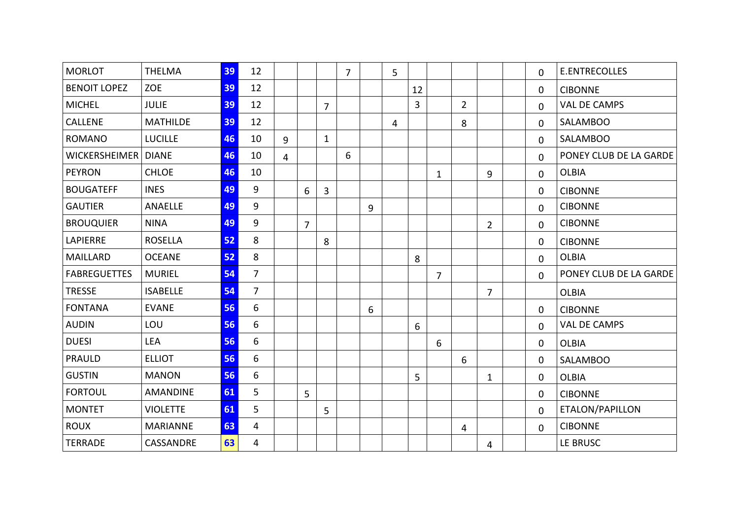| <b>MORLOT</b>         | <b>THELMA</b>   | 39 | 12             |                |                |                | $\overline{7}$ |   | 5              |                |                |                |                | $\mathbf 0$ | <b>E.ENTRECOLLES</b>   |
|-----------------------|-----------------|----|----------------|----------------|----------------|----------------|----------------|---|----------------|----------------|----------------|----------------|----------------|-------------|------------------------|
| <b>BENOIT LOPEZ</b>   | <b>ZOE</b>      | 39 | 12             |                |                |                |                |   |                | 12             |                |                |                | $\mathbf 0$ | <b>CIBONNE</b>         |
| <b>MICHEL</b>         | <b>JULIE</b>    | 39 | 12             |                |                | $\overline{7}$ |                |   |                | $\overline{3}$ |                | $\overline{2}$ |                | $\mathbf 0$ | <b>VAL DE CAMPS</b>    |
| CALLENE               | <b>MATHILDE</b> | 39 | 12             |                |                |                |                |   | $\overline{4}$ |                |                | 8              |                | $\mathbf 0$ | <b>SALAMBOO</b>        |
| <b>ROMANO</b>         | <b>LUCILLE</b>  | 46 | 10             | $\overline{9}$ |                | $\mathbf{1}$   |                |   |                |                |                |                |                | $\mathbf 0$ | <b>SALAMBOO</b>        |
| WICKERSHEIMER   DIANE |                 | 46 | 10             | $\overline{4}$ |                |                | 6              |   |                |                |                |                |                | $\mathbf 0$ | PONEY CLUB DE LA GARDE |
| <b>PEYRON</b>         | <b>CHLOE</b>    | 46 | 10             |                |                |                |                |   |                |                | 1              |                | 9              | $\mathbf 0$ | <b>OLBIA</b>           |
| <b>BOUGATEFF</b>      | <b>INES</b>     | 49 | 9              |                | 6              | 3              |                |   |                |                |                |                |                | $\mathbf 0$ | <b>CIBONNE</b>         |
| <b>GAUTIER</b>        | ANAELLE         | 49 | 9              |                |                |                |                | 9 |                |                |                |                |                | $\mathbf 0$ | <b>CIBONNE</b>         |
| <b>BROUQUIER</b>      | <b>NINA</b>     | 49 | 9              |                | $\overline{7}$ |                |                |   |                |                |                |                | $\overline{2}$ | $\mathbf 0$ | <b>CIBONNE</b>         |
| LAPIERRE              | <b>ROSELLA</b>  | 52 | 8              |                |                | 8              |                |   |                |                |                |                |                | 0           | <b>CIBONNE</b>         |
| <b>MAILLARD</b>       | <b>OCEANE</b>   | 52 | 8              |                |                |                |                |   |                | 8              |                |                |                | $\mathbf 0$ | <b>OLBIA</b>           |
| <b>FABREGUETTES</b>   | <b>MURIEL</b>   | 54 | $\overline{7}$ |                |                |                |                |   |                |                | $\overline{7}$ |                |                | $\mathbf 0$ | PONEY CLUB DE LA GARDE |
| <b>TRESSE</b>         | <b>ISABELLE</b> | 54 | $\overline{7}$ |                |                |                |                |   |                |                |                |                | $\overline{7}$ |             | <b>OLBIA</b>           |
| <b>FONTANA</b>        | <b>EVANE</b>    | 56 | 6              |                |                |                |                | 6 |                |                |                |                |                | $\mathbf 0$ | <b>CIBONNE</b>         |
| <b>AUDIN</b>          | LOU             | 56 | 6              |                |                |                |                |   |                | 6              |                |                |                | $\mathbf 0$ | <b>VAL DE CAMPS</b>    |
| <b>DUESI</b>          | <b>LEA</b>      | 56 | 6              |                |                |                |                |   |                |                | 6              |                |                | $\mathbf 0$ | <b>OLBIA</b>           |
| <b>PRAULD</b>         | <b>ELLIOT</b>   | 56 | 6              |                |                |                |                |   |                |                |                | 6              |                | $\mathbf 0$ | <b>SALAMBOO</b>        |
| <b>GUSTIN</b>         | <b>MANON</b>    | 56 | 6              |                |                |                |                |   |                | 5              |                |                | $\mathbf{1}$   | $\mathbf 0$ | <b>OLBIA</b>           |
| <b>FORTOUL</b>        | <b>AMANDINE</b> | 61 | 5              |                | 5              |                |                |   |                |                |                |                |                | $\mathbf 0$ | <b>CIBONNE</b>         |
| <b>MONTET</b>         | <b>VIOLETTE</b> | 61 | 5              |                |                | 5              |                |   |                |                |                |                |                | $\mathbf 0$ | ETALON/PAPILLON        |
| <b>ROUX</b>           | <b>MARIANNE</b> | 63 | $\overline{4}$ |                |                |                |                |   |                |                |                | $\overline{4}$ |                | $\mathbf 0$ | <b>CIBONNE</b>         |
| <b>TERRADE</b>        | CASSANDRE       | 63 | $\overline{4}$ |                |                |                |                |   |                |                |                |                | 4              |             | LE BRUSC               |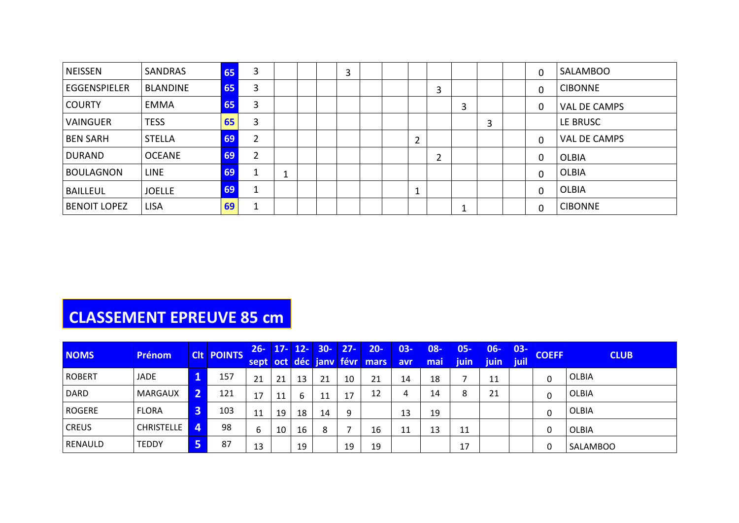| <b>NEISSEN</b>      | <b>SANDRAS</b>  | 65 | 3              |   |  | 3 |  |        |        |        |   | $\mathbf 0$ | <b>SALAMBOO</b> |
|---------------------|-----------------|----|----------------|---|--|---|--|--------|--------|--------|---|-------------|-----------------|
| <b>EGGENSPIELER</b> | <b>BLANDINE</b> | 65 | 3              |   |  |   |  |        | 3      |        |   | $\mathbf 0$ | <b>CIBONNE</b>  |
| <b>COURTY</b>       | EMMA            | 65 | 3              |   |  |   |  |        |        | ົ<br>э |   | 0           | VAL DE CAMPS    |
| <b>VAINGUER</b>     | <b>TESS</b>     | 65 | 3              |   |  |   |  |        |        |        | 3 |             | LE BRUSC        |
| <b>BEN SARH</b>     | STELLA          | 69 | $\overline{2}$ |   |  |   |  | 2      |        |        |   | $\mathbf 0$ | VAL DE CAMPS    |
| <b>DURAND</b>       | <b>OCEANE</b>   | 69 | $\overline{2}$ |   |  |   |  |        | C<br>Ź |        |   | $\mathbf 0$ | <b>OLBIA</b>    |
| <b>BOULAGNON</b>    | <b>LINE</b>     | 69 |                | ᅩ |  |   |  |        |        |        |   | $\mathbf 0$ | <b>OLBIA</b>    |
| <b>BAILLEUL</b>     | <b>JOELLE</b>   | 69 | 1              |   |  |   |  | ×<br>ᅩ |        |        |   | $\mathbf 0$ | <b>OLBIA</b>    |
| <b>BENOIT LOPEZ</b> | <b>LISA</b>     | 69 | -1             |   |  |   |  |        |        |        |   | $\mathbf 0$ | <b>CIBONNE</b>  |

# **CLASSEMENT EPREUVE 85 cm**

| <b>NOMS</b>    | <b>Prénom</b>     |                | <b>CIt POINTS</b> | $26 -$       | $17 -$ | $12 -$ | $30 -$ | $27 -$ | $20 -$                      | $03 -$      | 08-  | $05 -$      | 06-  | $03 -$ | <b>COEFF</b> | <b>CLUB</b>     |
|----------------|-------------------|----------------|-------------------|--------------|--------|--------|--------|--------|-----------------------------|-------------|------|-------------|------|--------|--------------|-----------------|
|                |                   |                |                   |              |        |        |        |        | sept oct déc jany févr mars | <b>lavr</b> | mail | <b>iuin</b> | juin | juil   |              |                 |
| <b>ROBERT</b>  | <b>JADE</b>       | $\mathbf 1$    | 157               | $\mathbf{A}$ | 21     | 13     | 21     | 10     | 21                          | 14          | 18   |             | 11   |        | 0            | <b>OLBIA</b>    |
| DARD           | <b>MARGAUX</b>    | $\overline{2}$ | 121               | 17           | 11     | ь      | 11     | 17     | 12                          | 4           | 14   | o<br>٥      | 21   |        | 0            | <b>OLBIA</b>    |
| <b>ROGERE</b>  | <b>FLORA</b>      | 3'             | 103               | 11           | 19     | 18     | 14     | 9      |                             | 13          | 19   |             |      |        | 0            | <b>OLBIA</b>    |
| <b>CREUS</b>   | <b>CHRISTELLE</b> | $\overline{4}$ | 98                |              | 10     | 16     | 8      |        | 16                          | 11<br>ᆠᆂ    | 13   | 11          |      |        | 0            | OLBIA           |
| <b>RENAULD</b> | <b>TEDDY</b>      | <b>5</b>       | 87                | 13           |        | 19     |        | 19     | 19                          |             |      | 17          |      |        |              | <b>SALAMBOO</b> |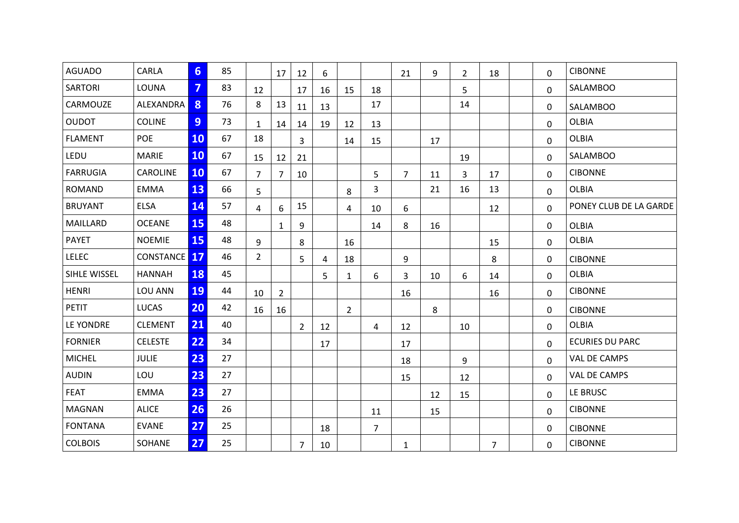| <b>AGUADO</b>   | CARLA               | 6              | 85 |                | 17             | 12             | 6  |                |                | 21             | 9  | $\overline{2}$ | 18             | 0           | <b>CIBONNE</b>         |
|-----------------|---------------------|----------------|----|----------------|----------------|----------------|----|----------------|----------------|----------------|----|----------------|----------------|-------------|------------------------|
| <b>SARTORI</b>  | LOUNA               | $\overline{7}$ | 83 | 12             |                | 17             | 16 | 15             | 18             |                |    | 5              |                | $\Omega$    | <b>SALAMBOO</b>        |
| CARMOUZE        | ALEXANDRA           | 8              | 76 | 8              | 13             | 11             | 13 |                | 17             |                |    | 14             |                | 0           | <b>SALAMBOO</b>        |
| <b>OUDOT</b>    | <b>COLINE</b>       | 9              | 73 | $\mathbf{1}$   | 14             | 14             | 19 | 12             | 13             |                |    |                |                | 0           | <b>OLBIA</b>           |
| <b>FLAMENT</b>  | <b>POE</b>          | <b>10</b>      | 67 | 18             |                | 3              |    | 14             | 15             |                | 17 |                |                | $\Omega$    | <b>OLBIA</b>           |
| LEDU            | <b>MARIE</b>        | 10             | 67 | 15             | 12             | 21             |    |                |                |                |    | 19             |                | $\Omega$    | <b>SALAMBOO</b>        |
| <b>FARRUGIA</b> | CAROLINE            | <b>10</b>      | 67 | $\overline{7}$ | 7              | 10             |    |                | 5              | 7 <sup>1</sup> | 11 | 3              | 17             | $\Omega$    | <b>CIBONNE</b>         |
| <b>ROMAND</b>   | <b>EMMA</b>         | 13             | 66 | 5              |                |                |    | 8              | 3              |                | 21 | 16             | 13             | 0           | <b>OLBIA</b>           |
| <b>BRUYANT</b>  | <b>ELSA</b>         | 14             | 57 | 4              | 6              | 15             |    | 4              | 10             | 6              |    |                | 12             | 0           | PONEY CLUB DE LA GARDE |
| MAILLARD        | <b>OCEANE</b>       | 15             | 48 |                | 1              | 9              |    |                | 14             | 8              | 16 |                |                | 0           | <b>OLBIA</b>           |
| <b>PAYET</b>    | <b>NOEMIE</b>       | 15             | 48 | 9              |                | 8              |    | 16             |                |                |    |                | 15             | $\Omega$    | <b>OLBIA</b>           |
| <b>LELEC</b>    | <b>CONSTANCE</b> 17 |                | 46 | $2^{\circ}$    |                | 5              | 4  | 18             |                | 9              |    |                | 8              | 0           | <b>CIBONNE</b>         |
| SIHLE WISSEL    | <b>HANNAH</b>       | 18             | 45 |                |                |                | 5  | $\mathbf{1}$   | 6              | 3              | 10 | 6              | 14             | 0           | <b>OLBIA</b>           |
| <b>HENRI</b>    | LOU ANN             | 19             | 44 | 10             | $\overline{2}$ |                |    |                |                | 16             |    |                | 16             | $\Omega$    | <b>CIBONNE</b>         |
| <b>PETIT</b>    | <b>LUCAS</b>        | 20             | 42 | 16             | 16             |                |    | $\overline{2}$ |                |                | 8  |                |                | $\Omega$    | <b>CIBONNE</b>         |
| LE YONDRE       | <b>CLEMENT</b>      | 21             | 40 |                |                | $\overline{2}$ | 12 |                | 4              | 12             |    | 10             |                | 0           | <b>OLBIA</b>           |
| <b>FORNIER</b>  | <b>CELESTE</b>      | 22             | 34 |                |                |                | 17 |                |                | 17             |    |                |                | 0           | <b>ECURIES DU PARC</b> |
| <b>MICHEL</b>   | <b>JULIE</b>        | 23             | 27 |                |                |                |    |                |                | 18             |    | 9              |                | 0           | <b>VAL DE CAMPS</b>    |
| <b>AUDIN</b>    | LOU                 | 23             | 27 |                |                |                |    |                |                | 15             |    | 12             |                | 0           | VAL DE CAMPS           |
| <b>FEAT</b>     | <b>EMMA</b>         | 23             | 27 |                |                |                |    |                |                |                | 12 | 15             |                | $\mathbf 0$ | LE BRUSC               |
| <b>MAGNAN</b>   | <b>ALICE</b>        | 26             | 26 |                |                |                |    |                | 11             |                | 15 |                |                | 0           | <b>CIBONNE</b>         |
| <b>FONTANA</b>  | <b>EVANE</b>        | 27             | 25 |                |                |                | 18 |                | $\overline{7}$ |                |    |                |                | 0           | <b>CIBONNE</b>         |
| <b>COLBOIS</b>  | SOHANE              | 27             | 25 |                |                | $\overline{7}$ | 10 |                |                | $\mathbf{1}$   |    |                | $\overline{7}$ | 0           | <b>CIBONNE</b>         |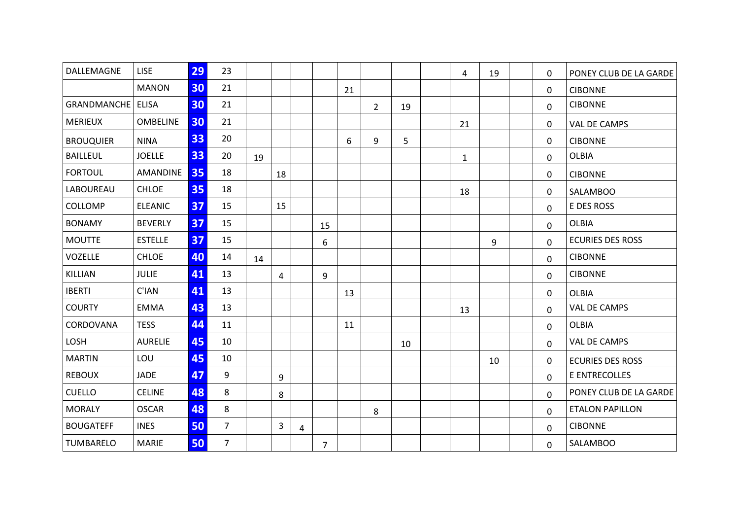| DALLEMAGNE                 | <b>LISE</b>     | 29 | 23             |    |    |                |                |    |                |    | 4            | 19 | 0        | PONEY CLUB DE LA GARDE  |  |
|----------------------------|-----------------|----|----------------|----|----|----------------|----------------|----|----------------|----|--------------|----|----------|-------------------------|--|
|                            | <b>MANON</b>    | 30 | 21             |    |    |                |                | 21 |                |    |              |    | 0        | <b>CIBONNE</b>          |  |
| <b>GRANDMANCHE   ELISA</b> |                 | 30 | 21             |    |    |                |                |    | $\overline{2}$ | 19 |              |    | $\Omega$ | <b>CIBONNE</b>          |  |
| <b>MERIEUX</b>             | <b>OMBELINE</b> | 30 | 21             |    |    |                |                |    |                |    | 21           |    | 0        | VAL DE CAMPS            |  |
| <b>BROUQUIER</b>           | <b>NINA</b>     | 33 | 20             |    |    |                |                | 6  | 9              | 5  |              |    | 0        | <b>CIBONNE</b>          |  |
| <b>BAILLEUL</b>            | <b>JOELLE</b>   | 33 | 20             | 19 |    |                |                |    |                |    | $\mathbf{1}$ |    | 0        | <b>OLBIA</b>            |  |
| <b>FORTOUL</b>             | AMANDINE        | 35 | 18             |    | 18 |                |                |    |                |    |              |    | 0        | <b>CIBONNE</b>          |  |
| LABOUREAU                  | <b>CHLOE</b>    | 35 | 18             |    |    |                |                |    |                |    | 18           |    | 0        | <b>SALAMBOO</b>         |  |
| COLLOMP                    | <b>ELEANIC</b>  | 37 | 15             |    | 15 |                |                |    |                |    |              |    | 0        | E DES ROSS              |  |
| <b>BONAMY</b>              | <b>BEVERLY</b>  | 37 | 15             |    |    |                | 15             |    |                |    |              |    | 0        | <b>OLBIA</b>            |  |
| <b>MOUTTE</b>              | <b>ESTELLE</b>  | 37 | 15             |    |    |                | 6              |    |                |    |              | 9  | $\Omega$ | <b>ECURIES DES ROSS</b> |  |
| VOZELLE                    | <b>CHLOE</b>    | 40 | 14             | 14 |    |                |                |    |                |    |              |    | 0        | <b>CIBONNE</b>          |  |
| KILLIAN                    | <b>JULIE</b>    | 41 | 13             |    | 4  |                | 9              |    |                |    |              |    | 0        | <b>CIBONNE</b>          |  |
| <b>IBERTI</b>              | C'IAN           | 41 | 13             |    |    |                |                | 13 |                |    |              |    | 0        | <b>OLBIA</b>            |  |
| <b>COURTY</b>              | <b>EMMA</b>     | 43 | 13             |    |    |                |                |    |                |    | 13           |    | 0        | VAL DE CAMPS            |  |
| CORDOVANA                  | <b>TESS</b>     | 44 | 11             |    |    |                |                | 11 |                |    |              |    | 0        | <b>OLBIA</b>            |  |
| LOSH                       | <b>AURELIE</b>  | 45 | 10             |    |    |                |                |    |                | 10 |              |    | 0        | <b>VAL DE CAMPS</b>     |  |
| <b>MARTIN</b>              | LOU             | 45 | 10             |    |    |                |                |    |                |    |              | 10 | 0        | <b>ECURIES DES ROSS</b> |  |
| <b>REBOUX</b>              | <b>JADE</b>     | 47 | 9              |    | 9  |                |                |    |                |    |              |    | 0        | E ENTRECOLLES           |  |
| <b>CUELLO</b>              | <b>CELINE</b>   | 48 | 8              |    | 8  |                |                |    |                |    |              |    | 0        | PONEY CLUB DE LA GARDE  |  |
| <b>MORALY</b>              | <b>OSCAR</b>    | 48 | 8              |    |    |                |                |    | 8              |    |              |    | 0        | <b>ETALON PAPILLON</b>  |  |
| <b>BOUGATEFF</b>           | <b>INES</b>     | 50 | $\overline{7}$ |    | 3  | $\overline{4}$ |                |    |                |    |              |    | 0        | <b>CIBONNE</b>          |  |
| TUMBARELO                  | <b>MARIE</b>    | 50 | $\overline{7}$ |    |    |                | $\overline{7}$ |    |                |    |              |    | 0        | <b>SALAMBOO</b>         |  |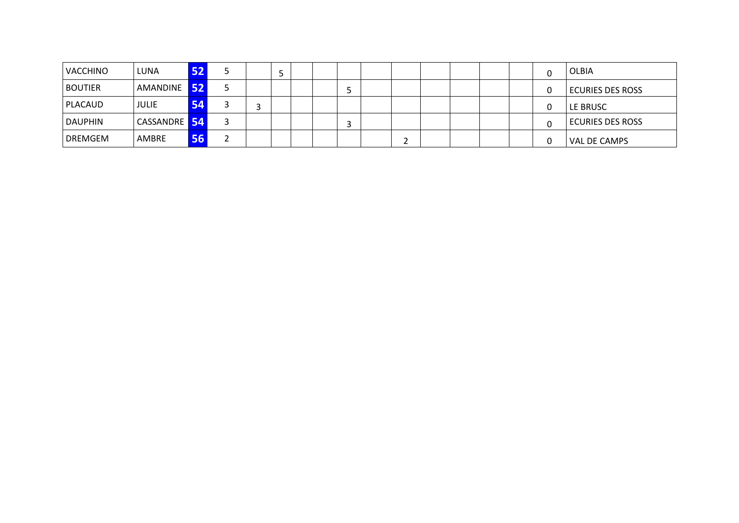| <b>VACCHINO</b> | LUNA                |    |  |  |  |  |  |  |  | OLBIA                   |
|-----------------|---------------------|----|--|--|--|--|--|--|--|-------------------------|
| <b>BOUTIER</b>  | AMANDINE 52         |    |  |  |  |  |  |  |  | <b>ECURIES DES ROSS</b> |
| <b>PLACAUD</b>  | JULIE               | 54 |  |  |  |  |  |  |  | LE BRUSC                |
| <b>DAUPHIN</b>  | <b>CASSANDRE</b> 54 |    |  |  |  |  |  |  |  | <b>ECURIES DES ROSS</b> |
| <b>DREMGEM</b>  | AMBRE               | ы  |  |  |  |  |  |  |  | <b>VAL DE CAMPS</b>     |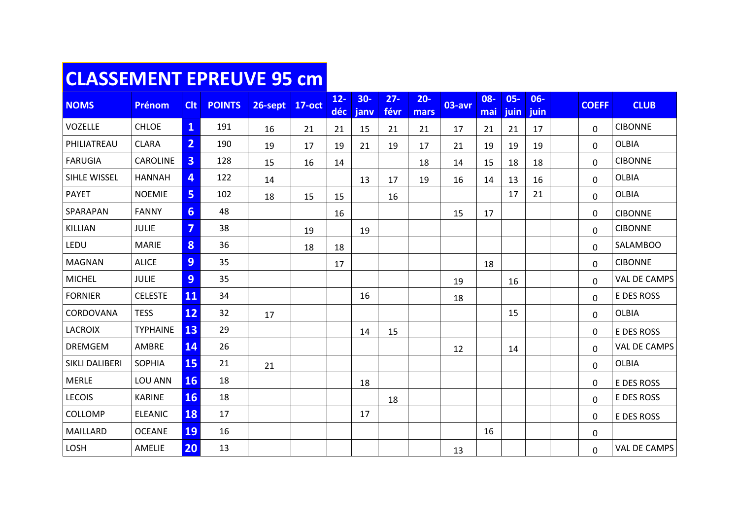## **CLASSEMENT EPREUVE 95 cm**

| <b>NOMS</b>    | <b>Prénom</b>   | <b>Clt</b>              | <b>POINTS</b> | 26-sept | <b>17-oct</b> | $12 -$<br>déc | $30-$<br>janv | $27 -$<br>févr | $20 -$<br>mars | 03-avr | 08-<br>mai | $05 -$<br>juin | $06 -$<br>juin | <b>COEFF</b> | <b>CLUB</b>         |
|----------------|-----------------|-------------------------|---------------|---------|---------------|---------------|---------------|----------------|----------------|--------|------------|----------------|----------------|--------------|---------------------|
| VOZELLE        | <b>CHLOE</b>    | $\mathbf{1}$            | 191           | 16      | 21            | 21            | 15            | 21             | 21             | 17     | 21         | 21             | 17             | $\Omega$     | <b>CIBONNE</b>      |
| PHILIATREAU    | <b>CLARA</b>    | $\overline{2}$          | 190           | 19      | 17            | 19            | 21            | 19             | 17             | 21     | 19         | 19             | 19             | $\mathbf{0}$ | <b>OLBIA</b>        |
| <b>FARUGIA</b> | CAROLINE        | $\overline{\mathbf{3}}$ | 128           | 15      | 16            | 14            |               |                | 18             | 14     | 15         | 18             | 18             | $\Omega$     | <b>CIBONNE</b>      |
| SIHLE WISSEL   | <b>HANNAH</b>   | 4                       | 122           | 14      |               |               | 13            | 17             | 19             | 16     | 14         | 13             | 16             | 0            | <b>OLBIA</b>        |
| <b>PAYET</b>   | <b>NOEMIE</b>   | 5 <sup>1</sup>          | 102           | 18      | 15            | 15            |               | 16             |                |        |            | 17             | 21             | 0            | <b>OLBIA</b>        |
| SPARAPAN       | <b>FANNY</b>    | $6 \overline{6}$        | 48            |         |               | 16            |               |                |                | 15     | 17         |                |                | $\mathbf{0}$ | <b>CIBONNE</b>      |
| KILLIAN        | <b>JULIE</b>    | $\overline{7}$          | 38            |         | 19            |               | 19            |                |                |        |            |                |                | $\mathbf{0}$ | <b>CIBONNE</b>      |
| LEDU           | <b>MARIE</b>    | 8                       | 36            |         | 18            | 18            |               |                |                |        |            |                |                | 0            | SALAMBOO            |
| <b>MAGNAN</b>  | <b>ALICE</b>    | 9                       | 35            |         |               | 17            |               |                |                |        | 18         |                |                | $\mathbf{0}$ | <b>CIBONNE</b>      |
| <b>MICHEL</b>  | <b>JULIE</b>    | 9                       | 35            |         |               |               |               |                |                | 19     |            | 16             |                | 0            | <b>VAL DE CAMPS</b> |
| <b>FORNIER</b> | <b>CELESTE</b>  | 11                      | 34            |         |               |               | 16            |                |                | 18     |            |                |                | 0            | E DES ROSS          |
| CORDOVANA      | <b>TESS</b>     | 12                      | 32            | 17      |               |               |               |                |                |        |            | 15             |                | 0            | <b>OLBIA</b>        |
| <b>LACROIX</b> | <b>TYPHAINE</b> | 13                      | 29            |         |               |               | 14            | 15             |                |        |            |                |                | $\mathbf{0}$ | E DES ROSS          |
| <b>DREMGEM</b> | AMBRE           | 14                      | 26            |         |               |               |               |                |                | 12     |            | 14             |                | 0            | VAL DE CAMPS        |
| SIKLI DALIBERI | SOPHIA          | 15                      | 21            | 21      |               |               |               |                |                |        |            |                |                | $\mathbf 0$  | <b>OLBIA</b>        |
| <b>MERLE</b>   | LOU ANN         | <b>16</b>               | 18            |         |               |               | 18            |                |                |        |            |                |                | $\mathbf{0}$ | E DES ROSS          |
| <b>LECOIS</b>  | <b>KARINE</b>   | 16                      | 18            |         |               |               |               | 18             |                |        |            |                |                | 0            | E DES ROSS          |
| COLLOMP        | <b>ELEANIC</b>  | 18                      | 17            |         |               |               | 17            |                |                |        |            |                |                | $\mathbf{0}$ | E DES ROSS          |
| MAILLARD       | <b>OCEANE</b>   | <b>19</b>               | 16            |         |               |               |               |                |                |        | 16         |                |                | $\mathbf 0$  |                     |
| LOSH           | AMELIE          | 20                      | 13            |         |               |               |               |                |                | 13     |            |                |                | $\mathbf{0}$ | VAL DE CAMPS        |